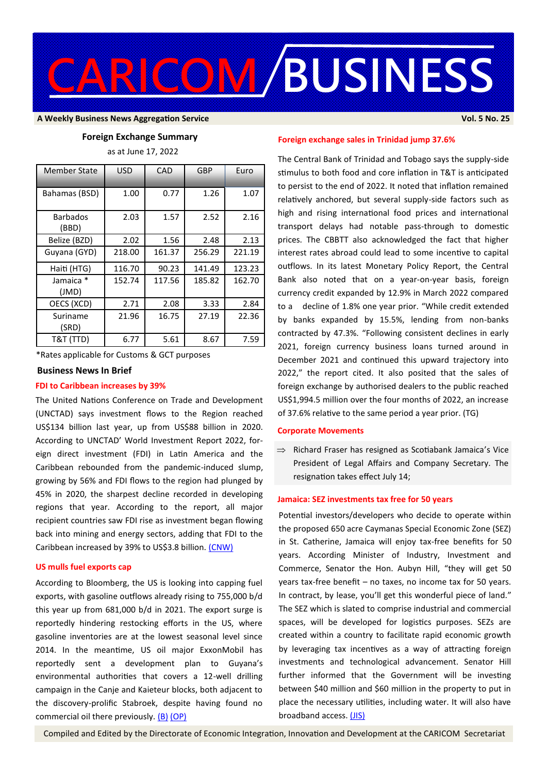

#### **A Weekly Business News Aggregation Service Vol. 5 No. 25**

### **Foreign Exchange Summary**

as at June 17, 2022

| <b>Member State</b>      | <b>USD</b> | CAD    | GBP    | Euro   |
|--------------------------|------------|--------|--------|--------|
| Bahamas (BSD)            | 1.00       | 0.77   | 1.26   | 1.07   |
| <b>Barbados</b><br>(BBD) | 2.03       | 1.57   | 2.52   | 2.16   |
| Belize (BZD)             | 2.02       | 1.56   | 2.48   | 2.13   |
| Guyana (GYD)             | 218.00     | 161.37 | 256.29 | 221.19 |
| Haiti (HTG)              | 116.70     | 90.23  | 141.49 | 123.23 |
| Jamaica *<br>(JMD)       | 152.74     | 117.56 | 185.82 | 162.70 |
| OECS (XCD)               | 2.71       | 2.08   | 3.33   | 2.84   |
| Suriname<br>(SRD)        | 21.96      | 16.75  | 27.19  | 22.36  |
| T&T (TTD)                | 6.77       | 5.61   | 8.67   | 7.59   |

\*Rates applicable for Customs & GCT purposes

#### **Business News In Brief**

# **FDI to Caribbean increases by 39%**

The United Nations Conference on Trade and Development (UNCTAD) says investment flows to the Region reached US\$134 billion last year, up from US\$88 billion in 2020. According to UNCTAD' World Investment Report 2022, foreign direct investment (FDI) in Latin America and the Caribbean rebounded from the pandemic-induced slump, growing by 56% and FDI flows to the region had plunged by 45% in 2020, the sharpest decline recorded in developing regions that year. According to the report, all major recipient countries saw FDI rise as investment began flowing back into mining and energy sectors, adding that FDI to the Caribbean increased by 39% to US\$3.8 billion. [\(CNW\)](https://www.caribbeannationalweekly.com/business/unctad-says-foreign-direct-investment-to-the-caribbean-has-rebounded-significantly/)

#### **US mulls fuel exports cap**

According to Bloomberg, the US is looking into capping fuel exports, with gasoline outflows already rising to 755,000 b/d this year up from 681,000 b/d in 2021. The export surge is reportedly hindering restocking efforts in the US, where gasoline inventories are at the lowest seasonal level since 2014. In the meantime, US oil major ExxonMobil has reportedly sent a development plan to Guyana's environmental authorities that covers a 12-well drilling campaign in the Canje and Kaieteur blocks, both adjacent to the discovery-prolific Stabroek, despite having found no commercial oil there previously. [\(B\)](https://www.bloomberg.com/news/articles/2022-06-16/white-house-mulls-fuel-export-limits-as-pump-prices-surge) [\(OP\)](https://oilprice.com/Energy/Energy-General/Oil-Bears-Burst-Back-Onto-The-Scene.html)

# **Foreign exchange sales in Trinidad jump 37.6%**

The Central Bank of Trinidad and Tobago says the supply-side stimulus to both food and core inflation in T&T is anticipated to persist to the end of 2022. It noted that inflation remained relatively anchored, but several supply-side factors such as high and rising international food prices and international transport delays had notable pass-through to domestic prices. The CBBTT also acknowledged the fact that higher interest rates abroad could lead to some incentive to capital outflows. In its latest Monetary Policy Report, the Central Bank also noted that on a year-on-year basis, foreign currency credit expanded by 12.9% in March 2022 compared to a decline of 1.8% one year prior. "While credit extended by banks expanded by 15.5%, lending from non-banks contracted by 47.3%. "Following consistent declines in early 2021, foreign currency business loans turned around in December 2021 and continued this upward trajectory into 2022," the report cited. It also posited that the sales of foreign exchange by authorised dealers to the public reached US\$1,994.5 million over the four months of 2022, an increase of 37.6% relative to the same period a year prior. (TG)

# **Corporate Movements**

 $\Rightarrow$  Richard Fraser has resigned as Scotiabank Jamaica's Vice President of Legal Affairs and Company Secretary. The resignation takes effect July 14;

## **Jamaica: SEZ investments tax free for 50 years**

Potential investors/developers who decide to operate within the proposed 650 acre Caymanas Special Economic Zone (SEZ) in St. Catherine, Jamaica will enjoy tax-free benefits for 50 years. According Minister of Industry, Investment and Commerce, Senator the Hon. Aubyn Hill, "they will get 50 years tax-free benefit – no taxes, no income tax for 50 years. In contract, by lease, you'll get this wonderful piece of land." The SEZ which is slated to comprise industrial and commercial spaces, will be developed for logistics purposes. SEZs are created within a country to facilitate rapid economic growth by leveraging tax incentives as a way of attracting foreign investments and technological advancement. Senator Hill further informed that the Government will be investing between \$40 million and \$60 million in the property to put in place the necessary utilities, including water. It will also have broadband access. [\(JIS\)](https://jis.gov.jm/long-term-tax-free-benefits-for-investors-in-caymanas-sez/)